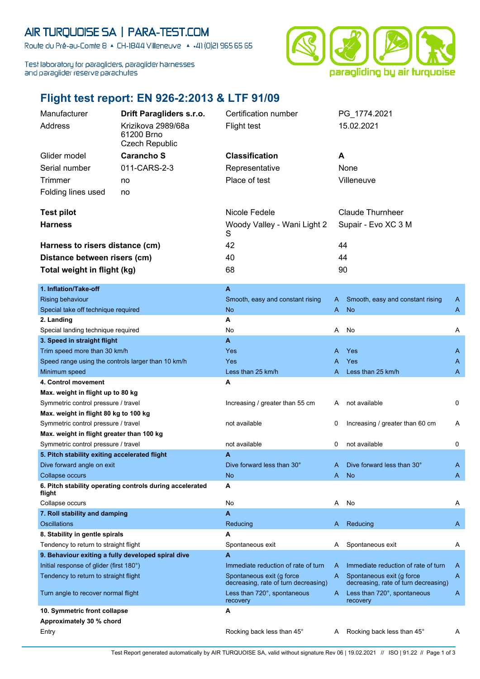## AIR TURQUOISE SA | PARA-TEST.COM

Route du Pré-au-Comte 8 & CH-1844 Villeneuve | 4 +41 (0)21 965 65 65

Test laboratory for paragliders, paraglider harnesses and paraglider reserve parachutes



## **Flight test report: EN 926-2:2013 & LTF 91/09**

| Manufacturer                                       | Drift Paragliders s.r.o.                                 | Certification number                                              |      | PG_1774.2021                                                      |   |
|----------------------------------------------------|----------------------------------------------------------|-------------------------------------------------------------------|------|-------------------------------------------------------------------|---|
| Address                                            | Krizikova 2989/68a                                       | <b>Flight test</b>                                                |      | 15.02.2021                                                        |   |
|                                                    | 61200 Brno                                               |                                                                   |      |                                                                   |   |
|                                                    | <b>Czech Republic</b>                                    |                                                                   |      |                                                                   |   |
| Glider model                                       | <b>Carancho S</b>                                        | <b>Classification</b>                                             | A    |                                                                   |   |
| Serial number                                      | 011-CARS-2-3                                             | Representative                                                    | None |                                                                   |   |
| Trimmer                                            | no                                                       | Place of test                                                     |      | Villeneuve                                                        |   |
| Folding lines used                                 | no                                                       |                                                                   |      |                                                                   |   |
|                                                    |                                                          |                                                                   |      |                                                                   |   |
| <b>Test pilot</b>                                  |                                                          | Nicole Fedele                                                     |      | <b>Claude Thurnheer</b>                                           |   |
| <b>Harness</b>                                     |                                                          | Woody Valley - Wani Light 2                                       |      | Supair - Evo XC 3 M                                               |   |
|                                                    |                                                          | S                                                                 |      |                                                                   |   |
| Harness to risers distance (cm)                    |                                                          | 42                                                                |      | 44                                                                |   |
| Distance between risers (cm)                       |                                                          | 40                                                                |      | 44                                                                |   |
| Total weight in flight (kg)                        |                                                          | 68                                                                |      | 90                                                                |   |
|                                                    |                                                          |                                                                   |      |                                                                   |   |
| 1. Inflation/Take-off                              |                                                          | A                                                                 |      |                                                                   |   |
| <b>Rising behaviour</b>                            |                                                          | Smooth, easy and constant rising                                  | A    | Smooth, easy and constant rising                                  | A |
| Special take off technique required                |                                                          | <b>No</b>                                                         | A    | <b>No</b>                                                         | A |
| 2. Landing                                         |                                                          | А                                                                 |      |                                                                   |   |
| Special landing technique required                 |                                                          | No                                                                | Α    | No                                                                | Α |
| 3. Speed in straight flight                        |                                                          | A                                                                 |      |                                                                   |   |
| Trim speed more than 30 km/h                       |                                                          | Yes                                                               | A    | Yes                                                               | A |
| Speed range using the controls larger than 10 km/h |                                                          | Yes                                                               | A    | Yes                                                               | A |
| Minimum speed                                      |                                                          | Less than 25 km/h                                                 | A    | Less than 25 km/h                                                 | A |
| 4. Control movement                                |                                                          | А                                                                 |      |                                                                   |   |
| Max. weight in flight up to 80 kg                  |                                                          |                                                                   |      |                                                                   |   |
| Symmetric control pressure / travel                |                                                          | Increasing / greater than 55 cm                                   | A    | not available                                                     | 0 |
| Max. weight in flight 80 kg to 100 kg              |                                                          |                                                                   |      |                                                                   |   |
| Symmetric control pressure / travel                |                                                          | not available                                                     | 0    | Increasing / greater than 60 cm                                   | A |
| Max. weight in flight greater than 100 kg          |                                                          |                                                                   |      |                                                                   |   |
| Symmetric control pressure / travel                |                                                          | not available                                                     | 0    | not available                                                     | 0 |
| 5. Pitch stability exiting accelerated flight      |                                                          | A                                                                 |      |                                                                   |   |
| Dive forward angle on exit                         |                                                          | Dive forward less than 30°                                        | A    | Dive forward less than 30°                                        | A |
| Collapse occurs                                    |                                                          | No                                                                | A    | <b>No</b>                                                         | A |
| flight                                             | 6. Pitch stability operating controls during accelerated | А                                                                 |      |                                                                   |   |
| Collapse occurs                                    |                                                          | No                                                                | A    | No                                                                | Α |
| 7. Roll stability and damping                      |                                                          | A                                                                 |      |                                                                   |   |
| <b>Oscillations</b>                                |                                                          | Reducing                                                          | A    | Reducing                                                          | A |
| 8. Stability in gentle spirals                     |                                                          | A                                                                 |      |                                                                   |   |
| Tendency to return to straight flight              |                                                          | Spontaneous exit                                                  | A    | Spontaneous exit                                                  | A |
| 9. Behaviour exiting a fully developed spiral dive |                                                          | A                                                                 |      |                                                                   |   |
| Initial response of glider (first 180°)            |                                                          | Immediate reduction of rate of turn                               | A    | Immediate reduction of rate of turn                               | A |
| Tendency to return to straight flight              |                                                          | Spontaneous exit (g force<br>decreasing, rate of turn decreasing) | A    | Spontaneous exit (g force<br>decreasing, rate of turn decreasing) | A |
| Turn angle to recover normal flight                |                                                          | Less than 720°, spontaneous<br>recovery                           | A    | Less than 720°, spontaneous<br>recovery                           | A |
| 10. Symmetric front collapse                       |                                                          | А                                                                 |      |                                                                   |   |
| Approximately 30 % chord                           |                                                          |                                                                   |      |                                                                   |   |
| Entry                                              |                                                          | Rocking back less than 45°                                        | A    | Rocking back less than 45°                                        | A |

Test Report generated automatically by AIR TURQUOISE SA, valid without signature Rev 06 | 19.02.2021 // ISO | 91.22 // Page 1 of 3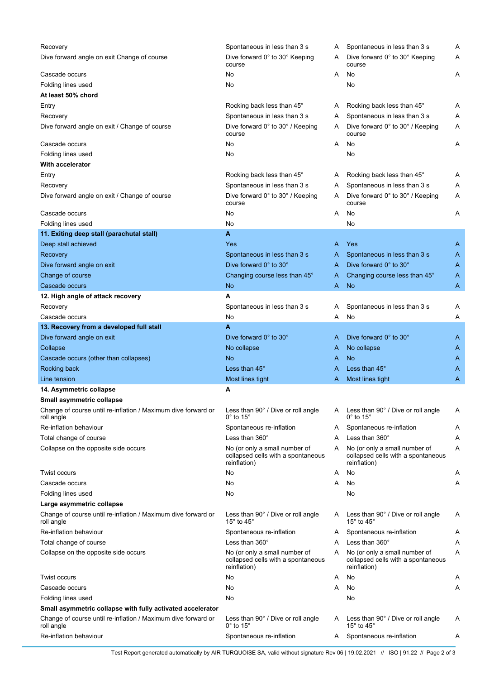| Recovery                                                                    | Spontaneous in less than 3 s                                                        | Α | Spontaneous in less than 3 s                                                        | Α |
|-----------------------------------------------------------------------------|-------------------------------------------------------------------------------------|---|-------------------------------------------------------------------------------------|---|
| Dive forward angle on exit Change of course                                 | Dive forward 0° to 30° Keeping<br>course                                            | A | Dive forward 0° to 30° Keeping<br>course                                            | A |
| Cascade occurs                                                              | No                                                                                  | A | No                                                                                  | Α |
| Folding lines used                                                          | No                                                                                  |   | No                                                                                  |   |
| At least 50% chord                                                          |                                                                                     |   |                                                                                     |   |
| Entry                                                                       | Rocking back less than 45°                                                          | A | Rocking back less than 45°                                                          | A |
| Recovery                                                                    | Spontaneous in less than 3 s                                                        | A | Spontaneous in less than 3 s                                                        | Α |
| Dive forward angle on exit / Change of course                               | Dive forward 0° to 30° / Keeping<br>course                                          | A | Dive forward 0° to 30° / Keeping<br>course                                          | Α |
| Cascade occurs                                                              | No                                                                                  | A | No                                                                                  | Α |
| Folding lines used                                                          | No                                                                                  |   | No                                                                                  |   |
| <b>With accelerator</b>                                                     |                                                                                     |   |                                                                                     |   |
| Entry                                                                       | Rocking back less than 45°                                                          | A | Rocking back less than 45°                                                          | Α |
| Recovery                                                                    | Spontaneous in less than 3 s                                                        | A | Spontaneous in less than 3 s                                                        | Α |
| Dive forward angle on exit / Change of course                               | Dive forward 0° to 30° / Keeping<br>course                                          | A | Dive forward 0° to 30° / Keeping<br>course                                          | Α |
| Cascade occurs                                                              | No                                                                                  | A | No                                                                                  | Α |
| Folding lines used                                                          | No                                                                                  |   | No                                                                                  |   |
| 11. Exiting deep stall (parachutal stall)                                   | A                                                                                   |   |                                                                                     |   |
| Deep stall achieved                                                         | Yes                                                                                 | A | Yes                                                                                 | A |
| Recovery                                                                    | Spontaneous in less than 3 s                                                        | A | Spontaneous in less than 3 s                                                        | A |
| Dive forward angle on exit                                                  | Dive forward 0° to 30°                                                              | A | Dive forward 0° to 30°                                                              | A |
| Change of course                                                            | Changing course less than 45°                                                       | A | Changing course less than 45°                                                       | A |
| Cascade occurs                                                              | <b>No</b>                                                                           | A | <b>No</b>                                                                           | A |
| 12. High angle of attack recovery                                           | A                                                                                   |   |                                                                                     |   |
|                                                                             |                                                                                     |   |                                                                                     |   |
| Recovery                                                                    | Spontaneous in less than 3 s                                                        | Α | Spontaneous in less than 3 s                                                        | Α |
| Cascade occurs                                                              | No                                                                                  | Α | No                                                                                  | Α |
| 13. Recovery from a developed full stall                                    | A                                                                                   |   |                                                                                     |   |
| Dive forward angle on exit                                                  | Dive forward 0° to 30°                                                              | A | Dive forward 0° to 30°                                                              | A |
| Collapse                                                                    | No collapse                                                                         | A | No collapse                                                                         | A |
| Cascade occurs (other than collapses)                                       | <b>No</b>                                                                           | A | <b>No</b>                                                                           | A |
| Rocking back                                                                | Less than 45°                                                                       | Α | Less than 45°                                                                       | A |
| Line tension                                                                | Most lines tight                                                                    | A | Most lines tight                                                                    | A |
| 14. Asymmetric collapse                                                     | A                                                                                   |   |                                                                                     |   |
| Small asymmetric collapse                                                   |                                                                                     |   |                                                                                     |   |
| Change of course until re-inflation / Maximum dive forward or<br>roll angle | Less than 90° / Dive or roll angle<br>$0^\circ$ to 15 $^\circ$                      | A | Less than 90° / Dive or roll angle<br>$0^\circ$ to 15 $^\circ$                      | Α |
| Re-inflation behaviour                                                      | Spontaneous re-inflation                                                            | A | Spontaneous re-inflation                                                            | Α |
| Total change of course                                                      | Less than $360^\circ$                                                               | Α | Less than 360°                                                                      | Α |
| Collapse on the opposite side occurs                                        | No (or only a small number of<br>collapsed cells with a spontaneous<br>reinflation) | A | No (or only a small number of<br>collapsed cells with a spontaneous<br>reinflation) | Α |
| Twist occurs                                                                | No                                                                                  | Α | No                                                                                  | Α |
| Cascade occurs                                                              | No                                                                                  | Α | No                                                                                  | Α |
| Folding lines used                                                          | No                                                                                  |   | No                                                                                  |   |
| Large asymmetric collapse                                                   |                                                                                     |   |                                                                                     |   |
| Change of course until re-inflation / Maximum dive forward or<br>roll angle | Less than 90° / Dive or roll angle<br>15° to 45°                                    | A | Less than 90° / Dive or roll angle<br>15° to 45°                                    | Α |
| Re-inflation behaviour                                                      | Spontaneous re-inflation                                                            | A | Spontaneous re-inflation                                                            | A |
| Total change of course                                                      | Less than 360°                                                                      | Α | Less than 360°                                                                      | Α |
| Collapse on the opposite side occurs                                        | No (or only a small number of<br>collapsed cells with a spontaneous<br>reinflation) | A | No (or only a small number of<br>collapsed cells with a spontaneous<br>reinflation) | Α |
| Twist occurs                                                                | No                                                                                  | Α | No                                                                                  | Α |
| Cascade occurs                                                              | No                                                                                  | Α | No                                                                                  | Α |
| Folding lines used                                                          | No                                                                                  |   | No                                                                                  |   |
| Small asymmetric collapse with fully activated accelerator                  |                                                                                     |   |                                                                                     |   |
| Change of course until re-inflation / Maximum dive forward or<br>roll angle | Less than 90° / Dive or roll angle<br>$0^\circ$ to 15 $^\circ$                      | A | Less than 90° / Dive or roll angle<br>15 $\degree$ to 45 $\degree$                  | Α |
| Re-inflation behaviour                                                      | Spontaneous re-inflation                                                            | A | Spontaneous re-inflation                                                            | A |

Test Report generated automatically by AIR TURQUOISE SA, valid without signature Rev 06 | 19.02.2021 // ISO | 91.22 // Page 2 of 3